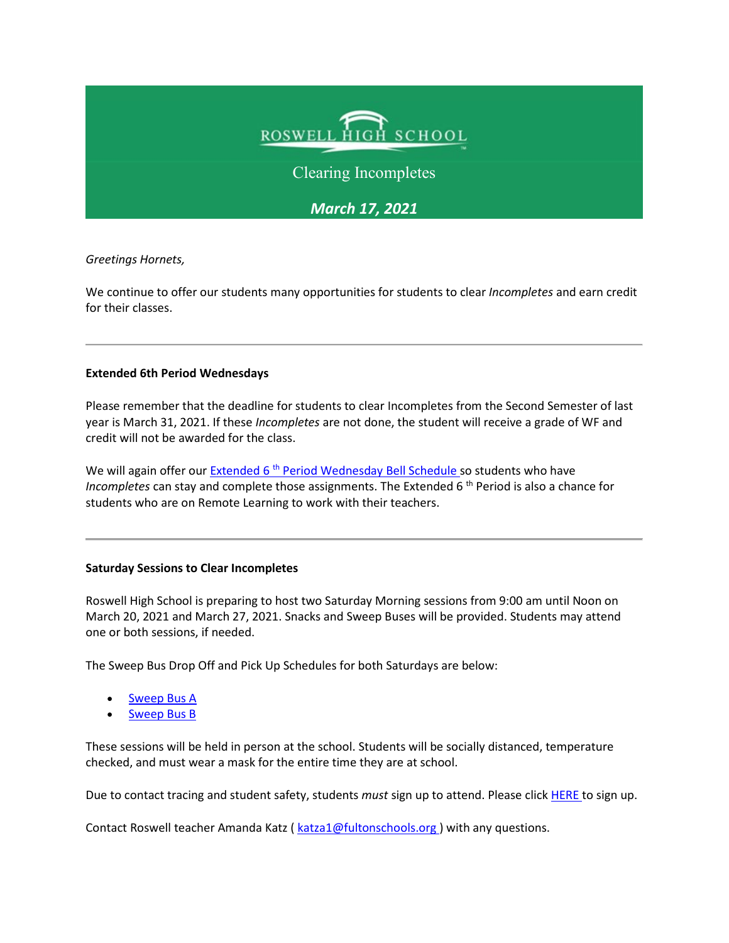

Clearing Incompletes

*March 17, 2021* 

*Greetings Hornets,* 

We continue to offer our students many opportunities for students to clear *Incompletes* and earn credit for their classes.

## **Extended 6th Period Wednesdays**

Please remember that the deadline for students to clear Incompletes from the Second Semester of last year is March 31, 2021. If these *Incompletes* are not done, the student will receive a grade of WF and credit will not be awarded for the class.

We will again offer our Extended 6<sup>th</sup> [Period Wednesday Bell Schedule s](https://nam11.safelinks.protection.outlook.com/?url=http%3A%2F%2Fnew.shawadmin.com%2FRoswell%2FPublic%2Fbellschedules.pdf&data=04%7C01%7Cmurphys%40fultonschools.org%7Caa9b873579444fda9d4f08d8e94293a7%7C0cdcb19881694b70ba9fda7e3ba700c2%7C1%7C0%7C637515819731094369%7CUnknown%7CTWFpbGZsb3d8eyJWIjoiMC4wLjAwMDAiLCJQIjoiV2luMzIiLCJBTiI6Ik1haWwiLCJXVCI6Mn0%3D%7C1000&sdata=yoEpiSA9k5tvEVVko%2Fs6dQLmOt9qMtleFpFV%2F9AdHA8%3D&reserved=0)o students who have *Incompletes* can stay and complete those assignments. The Extended 6<sup>th</sup> Period is also a chance for students who are on Remote Learning to work with their teachers.

## **Saturday Sessions to Clear Incompletes**

Roswell High School is preparing to host two Saturday Morning sessions from 9:00 am until Noon on March 20, 2021 and March 27, 2021. Snacks and Sweep Buses will be provided. Students may attend one or both sessions, if needed.

The Sweep Bus Drop Off and Pick Up Schedules for both Saturdays are below:

- [Sweep Bus A](https://nam11.safelinks.protection.outlook.com/?url=http%3A%2F%2Fnew.shawadmin.com%2FRoswell%2FPublic%2FRHSSatSweepA.pdf&data=04%7C01%7Cmurphys%40fultonschools.org%7Caa9b873579444fda9d4f08d8e94293a7%7C0cdcb19881694b70ba9fda7e3ba700c2%7C1%7C0%7C637515819731094369%7CUnknown%7CTWFpbGZsb3d8eyJWIjoiMC4wLjAwMDAiLCJQIjoiV2luMzIiLCJBTiI6Ik1haWwiLCJXVCI6Mn0%3D%7C1000&sdata=AUDCBowlwqVyKgfqX4vVcBfWot8mK7QNovLoU1%2FbOlo%3D&reserved=0)
- [Sweep Bus B](https://nam11.safelinks.protection.outlook.com/?url=http%3A%2F%2Fnew.shawadmin.com%2FRoswell%2FPublic%2FRHSSatSweepB.pdf&data=04%7C01%7Cmurphys%40fultonschools.org%7Caa9b873579444fda9d4f08d8e94293a7%7C0cdcb19881694b70ba9fda7e3ba700c2%7C1%7C0%7C637515819731104364%7CUnknown%7CTWFpbGZsb3d8eyJWIjoiMC4wLjAwMDAiLCJQIjoiV2luMzIiLCJBTiI6Ik1haWwiLCJXVCI6Mn0%3D%7C1000&sdata=JgZSoLF8weEO1016r6Fa8ODWBkPAS7Ff8M%2B%2BsyqxuqM%3D&reserved=0)

These sessions will be held in person at the school. Students will be socially distanced, temperature checked, and must wear a mask for the entire time they are at school.

Due to contact tracing and student safety, students *must* sign up to attend. Please click [HERE t](https://forms.office.com/Pages/ResponsePage.aspx?id=mLHcDGmBcEu6n9p-O6cAwify9XSUym1Hi9A9FhPxy3VURVRLN05SNkRMWjdUMTZLQTJUR0o2QkkyRy4u)o sign up.

Contact Roswell teacher Amanda Katz ( katza1@fultonschools.org) with any questions.